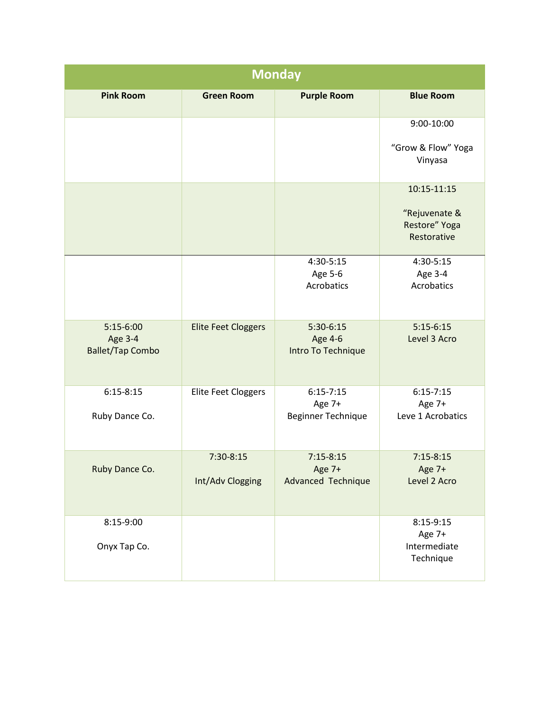| <b>Monday</b>                                            |                               |                                               |                                                    |
|----------------------------------------------------------|-------------------------------|-----------------------------------------------|----------------------------------------------------|
| <b>Pink Room</b>                                         | <b>Green Room</b>             | <b>Purple Room</b>                            | <b>Blue Room</b>                                   |
|                                                          |                               |                                               | 9:00-10:00<br>"Grow & Flow" Yoga<br>Vinyasa        |
|                                                          |                               |                                               | 10:15-11:15<br>"Rejuvenate &<br>Restore" Yoga      |
|                                                          |                               |                                               | Restorative                                        |
|                                                          |                               | 4:30-5:15<br>Age 5-6<br><b>Acrobatics</b>     | 4:30-5:15<br>Age 3-4<br>Acrobatics                 |
| $5:15-6:00$<br><b>Age 3-4</b><br><b>Ballet/Tap Combo</b> | <b>Elite Feet Cloggers</b>    | 5:30-6:15<br>Age 4-6<br>Intro To Technique    | $5:15-6:15$<br>Level 3 Acro                        |
| $6:15 - 8:15$<br>Ruby Dance Co.                          | Elite Feet Cloggers           | $6:15 - 7:15$<br>Age 7+<br>Beginner Technique | $6:15 - 7:15$<br>Age 7+<br>Leve 1 Acrobatics       |
| Ruby Dance Co.                                           | 7:30-8:15<br>Int/Adv Clogging | $7:15-8:15$<br>Age 7+<br>Advanced Technique   | $7:15 - 8:15$<br>Age 7+<br>Level 2 Acro            |
| 8:15-9:00<br>Onyx Tap Co.                                |                               |                                               | $8:15-9:15$<br>Age 7+<br>Intermediate<br>Technique |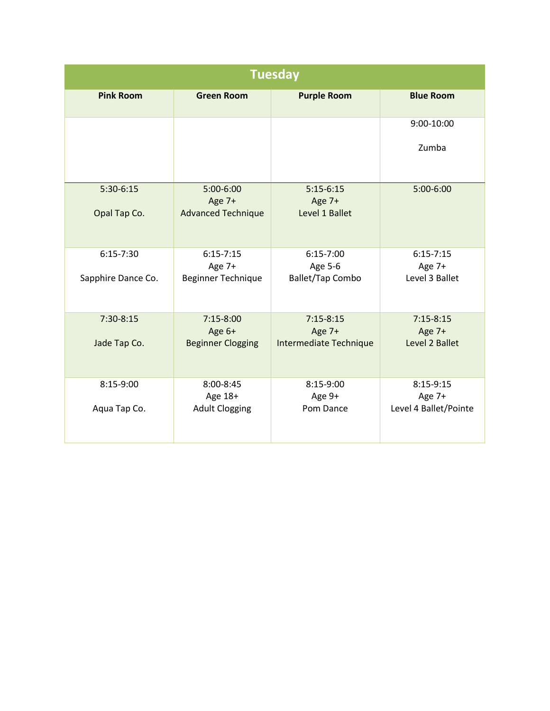| <b>Tuesday</b>     |                           |                         |                         |
|--------------------|---------------------------|-------------------------|-------------------------|
| <b>Pink Room</b>   | <b>Green Room</b>         | <b>Purple Room</b>      | <b>Blue Room</b>        |
|                    |                           |                         | 9:00-10:00              |
|                    |                           |                         | Zumba                   |
| 5:30-6:15          | 5:00-6:00<br>Age 7+       | $5:15-6:15$<br>Age 7+   | 5:00-6:00               |
| Opal Tap Co.       | <b>Advanced Technique</b> | Level 1 Ballet          |                         |
| $6:15-7:30$        | $6:15 - 7:15$<br>Age 7+   | $6:15-7:00$<br>Age 5-6  | $6:15 - 7:15$<br>Age 7+ |
| Sapphire Dance Co. | Beginner Technique        | <b>Ballet/Tap Combo</b> | Level 3 Ballet          |
| $7:30-8:15$        | $7:15-8:00$<br>Age 6+     | $7:15 - 8:15$<br>Age 7+ | $7:15 - 8:15$<br>Age 7+ |
| Jade Tap Co.       | <b>Beginner Clogging</b>  | Intermediate Technique  | Level 2 Ballet          |
| 8:15-9:00          | $8:00 - 8:45$<br>Age 18+  | $8:15-9:00$<br>Age 9+   | 8:15-9:15<br>Age 7+     |
| Aqua Tap Co.       | <b>Adult Clogging</b>     | Pom Dance               | Level 4 Ballet/Pointe   |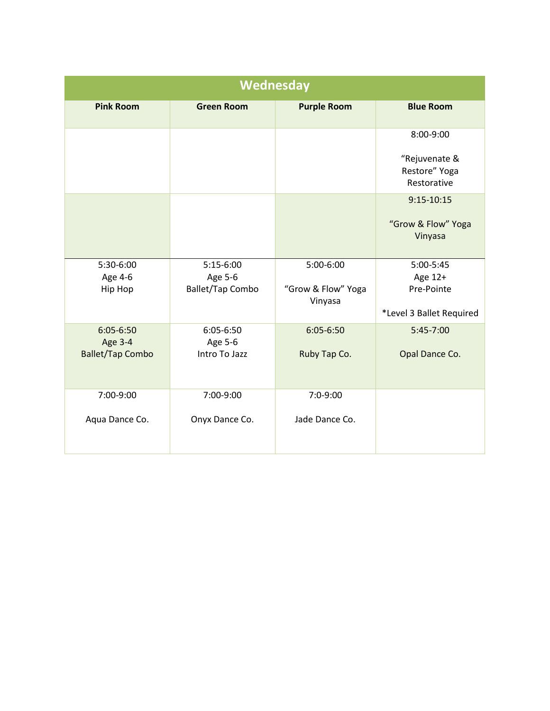| Wednesday               |                         |                               |                                               |
|-------------------------|-------------------------|-------------------------------|-----------------------------------------------|
| <b>Pink Room</b>        | <b>Green Room</b>       | <b>Purple Room</b>            | <b>Blue Room</b>                              |
|                         |                         |                               | $8:00-9:00$                                   |
|                         |                         |                               | "Rejuvenate &<br>Restore" Yoga<br>Restorative |
|                         |                         |                               | $9:15 - 10:15$                                |
|                         |                         |                               | "Grow & Flow" Yoga<br>Vinyasa                 |
| 5:30-6:00<br>Age 4-6    | 5:15-6:00<br>Age 5-6    | 5:00-6:00                     | 5:00-5:45<br>Age 12+                          |
| Hip Hop                 | <b>Ballet/Tap Combo</b> | "Grow & Flow" Yoga<br>Vinyasa | Pre-Pointe                                    |
|                         |                         |                               | *Level 3 Ballet Required                      |
| 6:05-6:50<br>Age 3-4    | 6:05-6:50<br>Age 5-6    | 6:05-6:50                     | 5:45-7:00                                     |
| <b>Ballet/Tap Combo</b> | Intro To Jazz           | Ruby Tap Co.                  | Opal Dance Co.                                |
| 7:00-9:00               | 7:00-9:00               | 7:0-9:00                      |                                               |
| Aqua Dance Co.          | Onyx Dance Co.          | Jade Dance Co.                |                                               |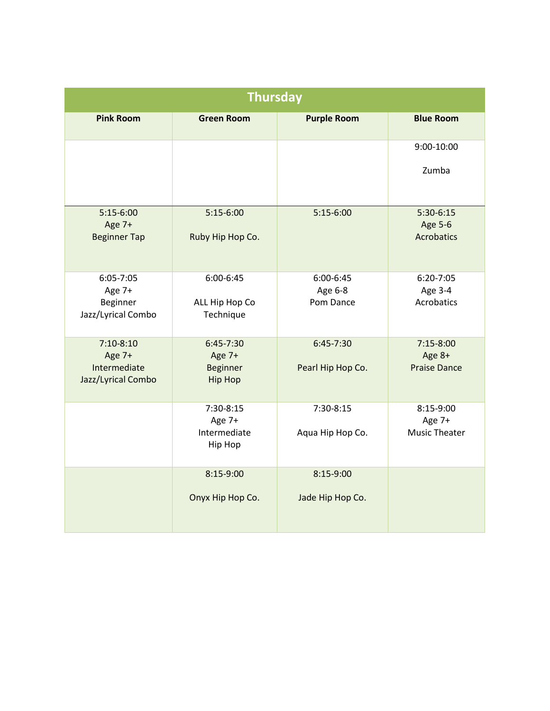| <b>Thursday</b>                    |                                   |                      |                          |
|------------------------------------|-----------------------------------|----------------------|--------------------------|
| <b>Pink Room</b>                   | <b>Green Room</b>                 | <b>Purple Room</b>   | <b>Blue Room</b>         |
|                                    |                                   |                      | 9:00-10:00               |
|                                    |                                   |                      | Zumba                    |
| $5:15-6:00$<br>Age 7+              | $5:15-6:00$                       | $5:15-6:00$          | 5:30-6:15<br>Age 5-6     |
| <b>Beginner Tap</b>                | Ruby Hip Hop Co.                  |                      | <b>Acrobatics</b>        |
| $6:05 - 7:05$<br>Age 7+            | 6:00-6:45                         | 6:00-6:45<br>Age 6-8 | $6:20 - 7:05$<br>Age 3-4 |
| Beginner<br>Jazz/Lyrical Combo     | ALL Hip Hop Co<br>Technique       | Pom Dance            | Acrobatics               |
| $7:10-8:10$<br>Age 7+              | $6:45-7:30$<br>Age 7+             | $6:45-7:30$          | $7:15-8:00$<br>Age 8+    |
| Intermediate<br>Jazz/Lyrical Combo | <b>Beginner</b><br><b>Hip Hop</b> | Pearl Hip Hop Co.    | <b>Praise Dance</b>      |
|                                    | 7:30-8:15<br>Age 7+               | 7:30-8:15            | 8:15-9:00<br>Age 7+      |
|                                    | Intermediate<br>Hip Hop           | Aqua Hip Hop Co.     | <b>Music Theater</b>     |
|                                    | 8:15-9:00                         | 8:15-9:00            |                          |
|                                    | Onyx Hip Hop Co.                  | Jade Hip Hop Co.     |                          |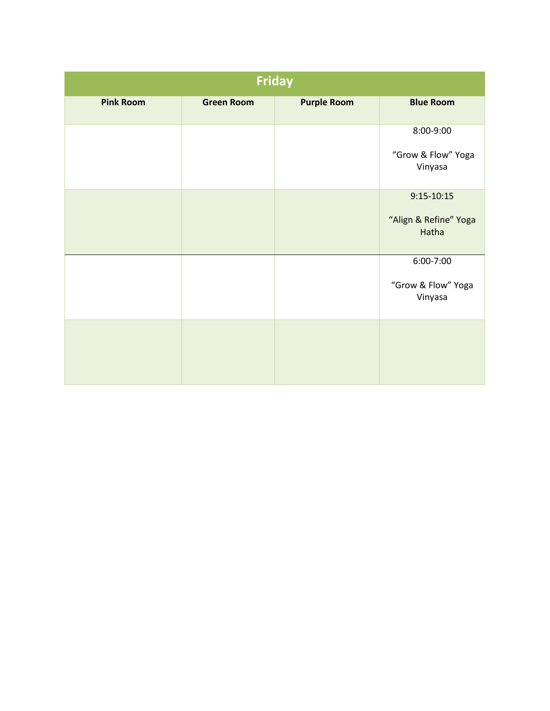| <b>Friday</b>    |                   |                    |                                |
|------------------|-------------------|--------------------|--------------------------------|
| <b>Pink Room</b> | <b>Green Room</b> | <b>Purple Room</b> | <b>Blue Room</b>               |
|                  |                   |                    | 8:00-9:00                      |
|                  |                   |                    | "Grow & Flow" Yoga<br>Vinyasa  |
|                  |                   |                    | $9:15 - 10:15$                 |
|                  |                   |                    | "Align & Refine" Yoga<br>Hatha |
|                  |                   |                    | $6:00 - 7:00$                  |
|                  |                   |                    | "Grow & Flow" Yoga<br>Vinyasa  |
|                  |                   |                    |                                |
|                  |                   |                    |                                |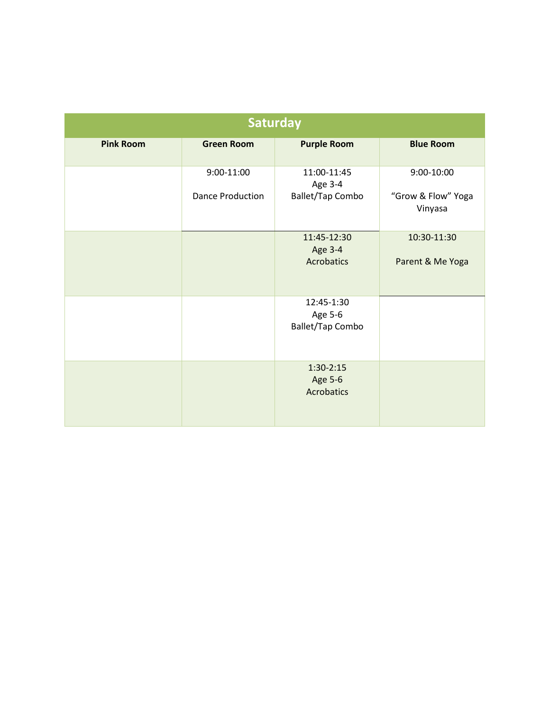| <b>Saturday</b>  |                         |                                                  |                               |
|------------------|-------------------------|--------------------------------------------------|-------------------------------|
| <b>Pink Room</b> | <b>Green Room</b>       | <b>Purple Room</b>                               | <b>Blue Room</b>              |
|                  | 9:00-11:00              | 11:00-11:45<br>Age 3-4                           | 9:00-10:00                    |
|                  | <b>Dance Production</b> | <b>Ballet/Tap Combo</b>                          | "Grow & Flow" Yoga<br>Vinyasa |
|                  |                         | 11:45-12:30<br>Age 3-4                           | 10:30-11:30                   |
|                  |                         | <b>Acrobatics</b>                                | Parent & Me Yoga              |
|                  |                         | 12:45-1:30<br>Age 5-6<br><b>Ballet/Tap Combo</b> |                               |
|                  |                         | $1:30-2:15$<br>Age 5-6<br><b>Acrobatics</b>      |                               |